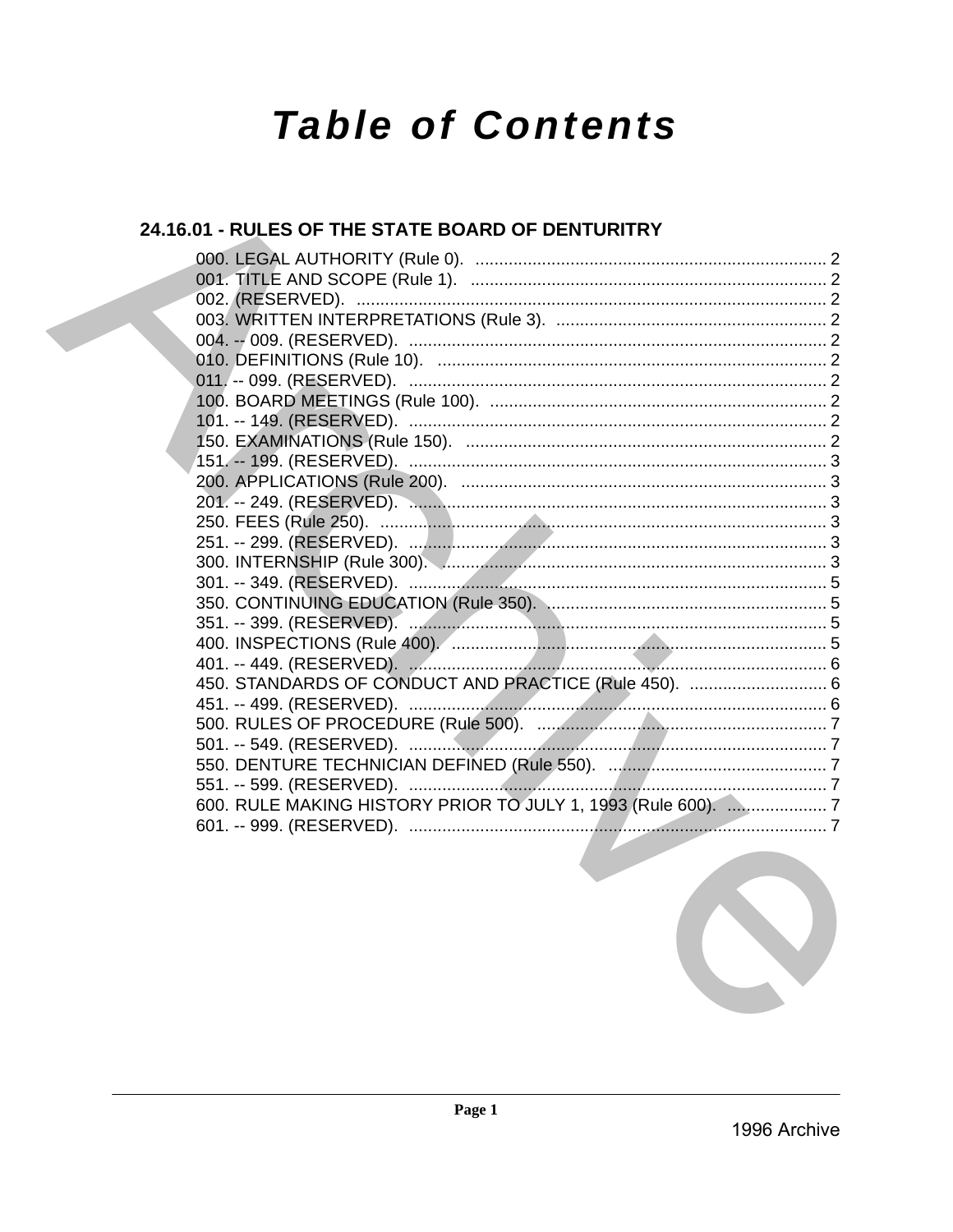# **Table of Contents**

## 24.16.01 - RULES OF THE STATE BOARD OF DENTURITRY

| 450. STANDARDS OF CONDUCT AND PRACTICE (Rule 450).  6         |  |
|---------------------------------------------------------------|--|
|                                                               |  |
|                                                               |  |
|                                                               |  |
|                                                               |  |
|                                                               |  |
| 600. RULE MAKING HISTORY PRIOR TO JULY 1, 1993 (Rule 600).  7 |  |
|                                                               |  |
|                                                               |  |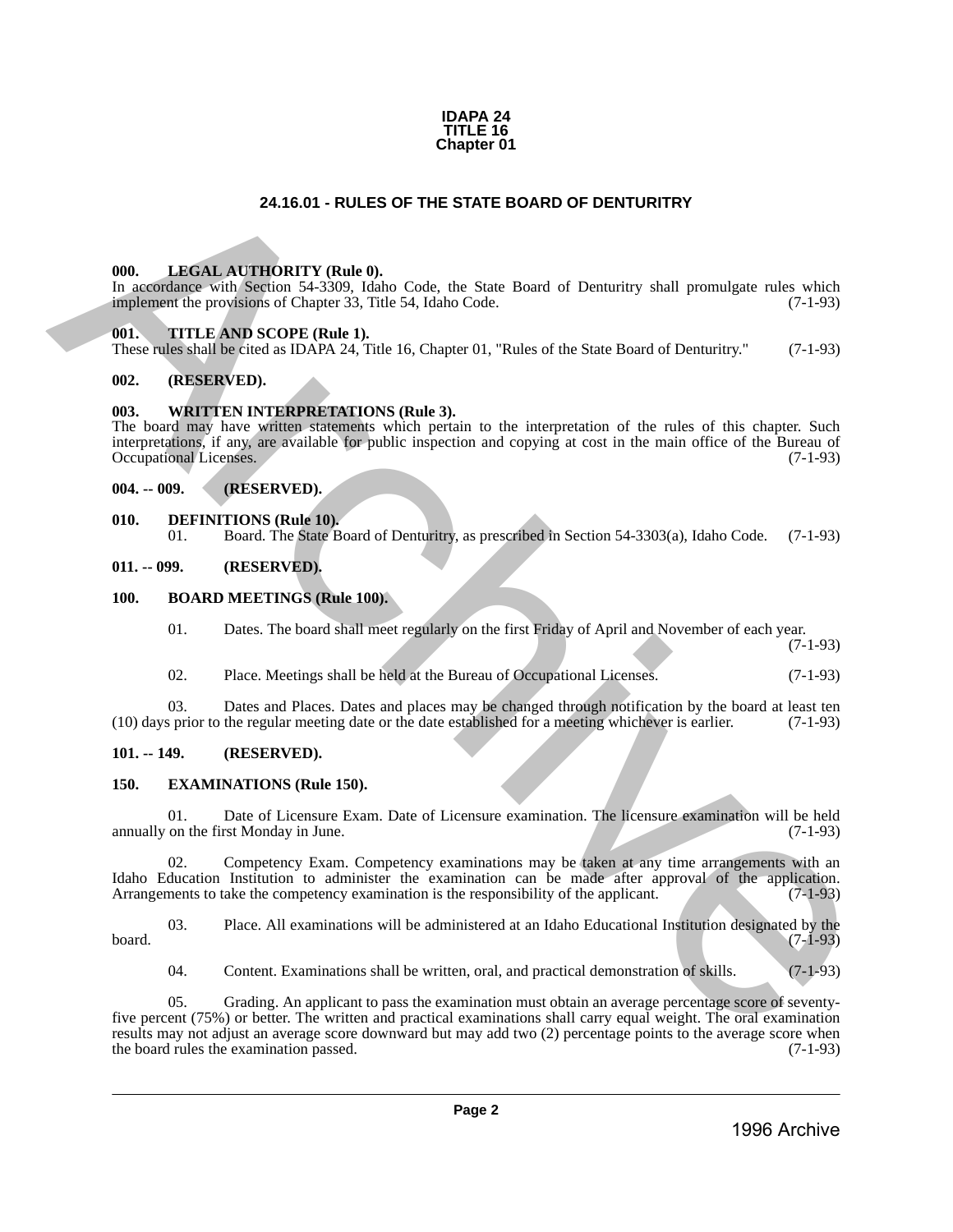#### **IDAPA 24 TITLE 16 Chapter 01**

#### **24.16.01 - RULES OF THE STATE BOARD OF DENTURITRY**

#### <span id="page-1-1"></span>**000. LEGAL AUTHORITY (Rule 0).**

In accordance with Section 54-3309, Idaho Code, the State Board of Denturitry shall promulgate rules which implement the provisions of Chapter 33, Title 54, Idaho Code. (7-1-93)

#### <span id="page-1-2"></span>**001. TITLE AND SCOPE (Rule 1).**

These rules shall be cited as IDAPA 24, Title 16, Chapter 01, "Rules of the State Board of Denturitry." (7-1-93)

#### <span id="page-1-3"></span>**002. (RESERVED).**

#### <span id="page-1-4"></span>**003. WRITTEN INTERPRETATIONS (Rule 3).**

<span id="page-1-0"></span>The board may have written statements which pertain to the interpretation of the rules of this chapter. Such interpretations, if any, are available for public inspection and copying at cost in the main office of the Bureau of Occupational Licenses. (7-1-93) 24.16.01 - RUE SIGN DE THE STATE BOARD OF DENTURITRY<br>
ARCHIVENTY (Buth the contract the processor of Change 3.1 The STATE BOARD OF DENTURITRY<br>
10. THE AND EXCIPTS (2014) (3) CODE AND COME BOARD OF DENTURITY shall promulta

#### <span id="page-1-5"></span>**004. -- 009. (RESERVED).**

# <span id="page-1-6"></span>**010. DEFINITIONS (Rule 10). 01. Board.** The State B

01. Board. The State Board of Denturitry, as prescribed in Section 54-3303(a), Idaho Code. (7-1-93)

#### <span id="page-1-7"></span>**011. -- 099. (RESERVED).**

#### <span id="page-1-8"></span>**100. BOARD MEETINGS (Rule 100).**

01. Dates. The board shall meet regularly on the first Friday of April and November of each year.

(7-1-93)

02. Place. Meetings shall be held at the Bureau of Occupational Licenses. (7-1-93)

03. Dates and Places. Dates and places may be changed through notification by the board at least ten (10) days prior to the regular meeting date or the date established for a meeting whichever is earlier. (7-1-93)

#### <span id="page-1-9"></span>**101. -- 149. (RESERVED).**

#### <span id="page-1-10"></span>**150. EXAMINATIONS (Rule 150).**

01. Date of Licensure Exam. Date of Licensure examination. The licensure examination will be held on the first Monday in June. (7-1-93) annually on the first Monday in June.

02. Competency Exam. Competency examinations may be taken at any time arrangements with an Idaho Education Institution to administer the examination can be made after approval of the application.<br>Arrangements to take the competency examination is the responsibility of the applicant. (7-1-93) Arrangements to take the competency examination is the responsibility of the applicant.

03. Place. All examinations will be administered at an Idaho Educational Institution designated by the board.  $(7-1-93)$ 

04. Content. Examinations shall be written, oral, and practical demonstration of skills. (7-1-93)

05. Grading. An applicant to pass the examination must obtain an average percentage score of seventyfive percent (75%) or better. The written and practical examinations shall carry equal weight. The oral examination results may not adjust an average score downward but may add two (2) percentage points to the average score when<br>the board rules the examination passed. (7-1-93) the board rules the examination passed.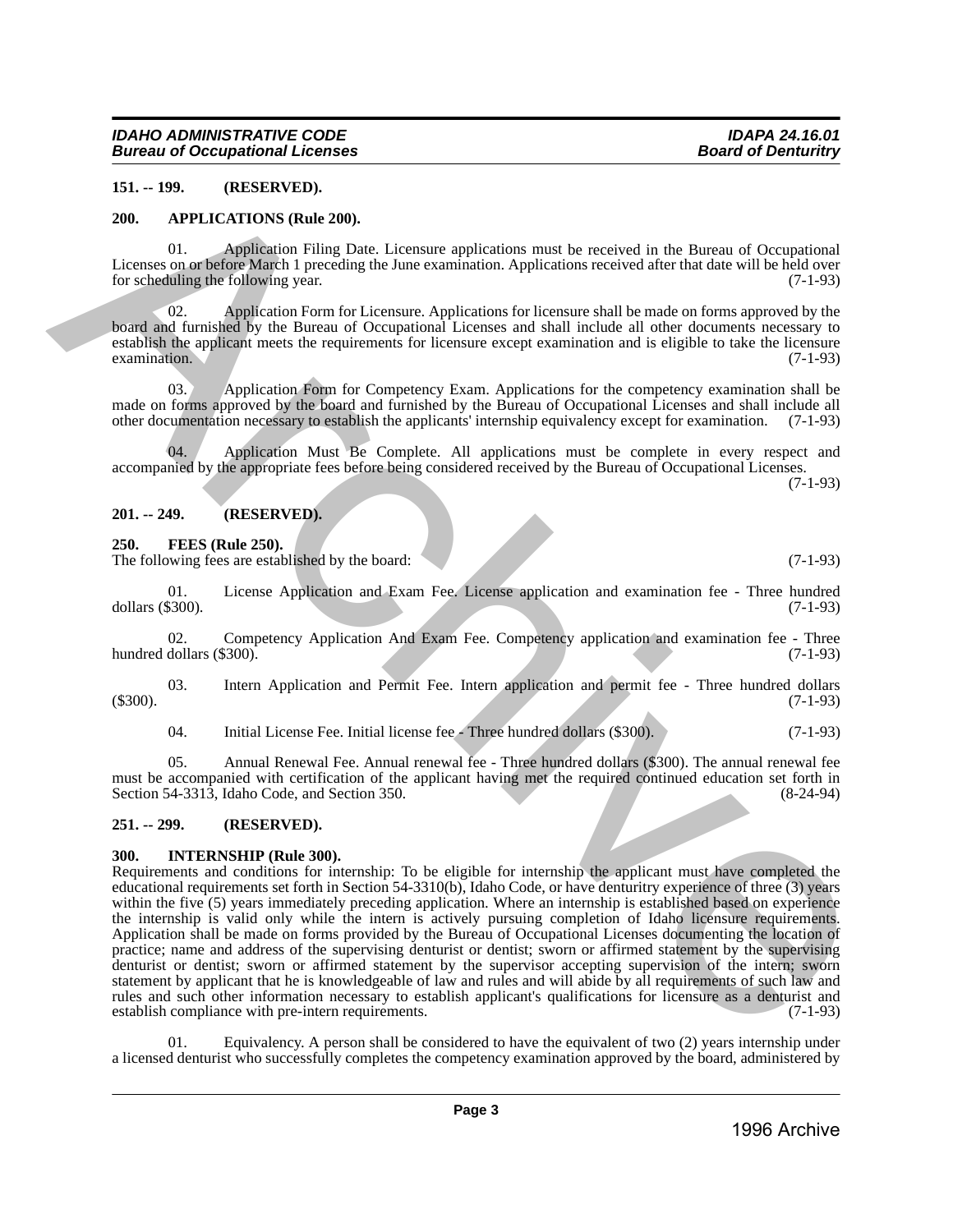#### <span id="page-2-0"></span>**151. -- 199. (RESERVED).**

#### <span id="page-2-1"></span>**200. APPLICATIONS (Rule 200).**

01. Application Filing Date. Licensure applications must be received in the Bureau of Occupational Licenses on or before March 1 preceding the June examination. Applications received after that date will be held over<br>for scheduling the following year. (7-1-93) for scheduling the following year.

02. Application Form for Licensure. Applications for licensure shall be made on forms approved by the board and furnished by the Bureau of Occupational Licenses and shall include all other documents necessary to establish the applicant meets the requirements for licensure except examination and is eligible to take the licensure  $\alpha$  examination. (7-1-93)

03. Application Form for Competency Exam. Applications for the competency examination shall be made on forms approved by the board and furnished by the Bureau of Occupational Licenses and shall include all other documentation necessary to establish the applicants' internship equivalency except for examination. (7-1-93)

04. Application Must Be Complete. All applications must be complete in every respect and accompanied by the appropriate fees before being considered received by the Bureau of Occupational Licenses.

(7-1-93)

#### <span id="page-2-2"></span>**201. -- 249. (RESERVED).**

<span id="page-2-3"></span>**250. FEES (Rule 250).**

The following fees are established by the board: (7-1-93) (7-1-93)

01. License Application and Exam Fee. License application and examination fee - Three hundred dollars (\$300). (7-1-93)

02. Competency Application And Exam Fee. Competency application and examination fee - Three hundred dollars  $(\$300)$ . (7-1-93)

03. Intern Application and Permit Fee. Intern application and permit fee - Three hundred dollars (\$300). (7-1-93)

04. Initial License Fee. Initial license fee - Three hundred dollars (\$300). (7-1-93)

05. Annual Renewal Fee. Annual renewal fee - Three hundred dollars (\$300). The annual renewal fee must be accompanied with certification of the applicant having met the required continued education set forth in Section 54-3313, Idaho Code, and Section 350. (8-24-94) Section 54-3313, Idaho Code, and Section 350.

#### <span id="page-2-4"></span>**251. -- 299. (RESERVED).**

#### <span id="page-2-5"></span>**300. INTERNSHIP (Rule 300).**

Requirements and conditions for internship: To be eligible for internship the applicant must have completed the educational requirements set forth in Section 54-3310(b), Idaho Code, or have denturitry experience of three (3) years within the five (5) years immediately preceding application. Where an internship is established based on experience the internship is valid only while the intern is actively pursuing completion of Idaho licensure requirements. Application shall be made on forms provided by the Bureau of Occupational Licenses documenting the location of practice; name and address of the supervising denturist or dentist; sworn or affirmed statement by the supervising denturist or dentist; sworn or affirmed statement by the supervisor accepting supervision of the intern; sworn statement by applicant that he is knowledgeable of law and rules and will abide by all requirements of such law and rules and such other information necessary to establish applicant's qualifications for licensure as a denturist and establish compliance with pre-intern requirements. (7-1-93) 151. - 199. (RESERVED).<br>
201. ATTILICATIONS (Rab 200).<br>
202. ATTILICATIONS (Rab 200).<br>
11:eneo Universidade Filing Data Licenson explication must be accelered after the attack of Oceansidal interactions and the set of the

Equivalency. A person shall be considered to have the equivalent of two (2) years internship under a licensed denturist who successfully completes the competency examination approved by the board, administered by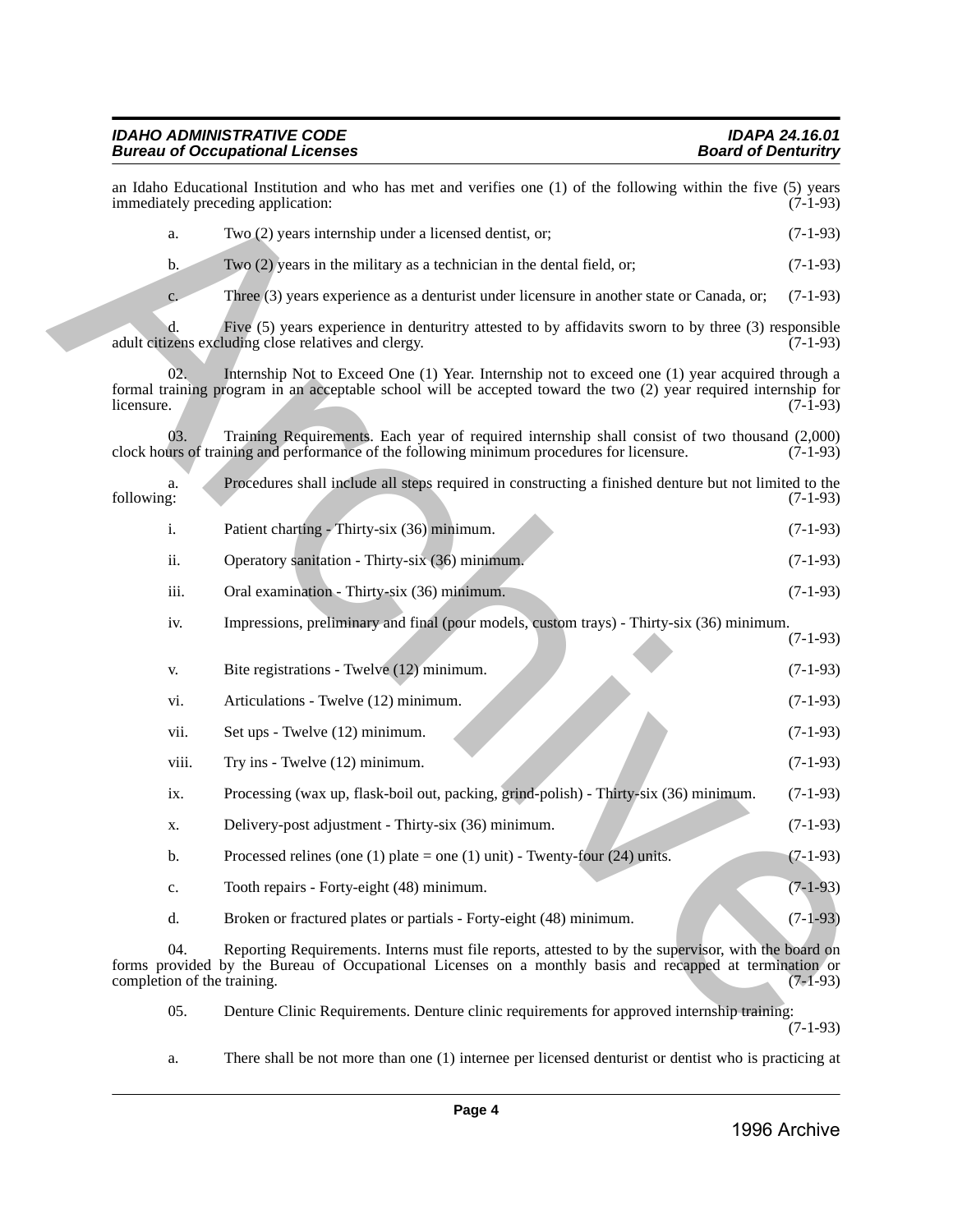#### *IDAHO ADMINISTRATIVE CODE IDAPA 24.16.01* **Bureau of Occupational Licenses**

|                                    | an Idaho Educational Institution and who has met and verifies one (1) of the following within the five (5) years<br>immediately preceding application:                                                              | $(7-1-93)$ |
|------------------------------------|---------------------------------------------------------------------------------------------------------------------------------------------------------------------------------------------------------------------|------------|
| a.                                 | Two (2) years internship under a licensed dentist, or;                                                                                                                                                              | $(7-1-93)$ |
| $\mathbf{b}$ .                     | Two (2) years in the military as a technician in the dental field, or;                                                                                                                                              | $(7-1-93)$ |
| c.                                 | Three (3) years experience as a denturist under licensure in another state or Canada, or;                                                                                                                           | $(7-1-93)$ |
|                                    | Five (5) years experience in denturitry attested to by affidavits sworn to by three (3) responsible<br>adult citizens excluding close relatives and clergy.                                                         | $(7-1-93)$ |
| 02.<br>licensure.                  | Internship Not to Exceed One (1) Year. Internship not to exceed one (1) year acquired through a<br>formal training program in an acceptable school will be accepted toward the two (2) year required internship for | $(7-1-93)$ |
| 03.                                | Training Requirements. Each year of required internship shall consist of two thousand (2,000)<br>clock hours of training and performance of the following minimum procedures for licensure.                         | $(7-1-93)$ |
| a.<br>following:                   | Procedures shall include all steps required in constructing a finished denture but not limited to the                                                                                                               | $(7-1-93)$ |
| i.                                 | Patient charting - Thirty-six (36) minimum.                                                                                                                                                                         | $(7-1-93)$ |
| ii.                                | Operatory sanitation - Thirty-six (36) minimum.                                                                                                                                                                     | $(7-1-93)$ |
| iii.                               | Oral examination - Thirty-six (36) minimum.                                                                                                                                                                         | $(7-1-93)$ |
| iv.                                | Impressions, preliminary and final (pour models, custom trays) - Thirty-six (36) minimum.                                                                                                                           | $(7-1-93)$ |
| V.                                 | Bite registrations - Twelve (12) minimum.                                                                                                                                                                           | $(7-1-93)$ |
| vi.                                | Articulations - Twelve (12) minimum.                                                                                                                                                                                | $(7-1-93)$ |
| vii.                               | Set ups - Twelve (12) minimum.                                                                                                                                                                                      | $(7-1-93)$ |
| viii.                              | Try ins - Twelve (12) minimum.                                                                                                                                                                                      | $(7-1-93)$ |
| ix.                                | Processing (wax up, flask-boil out, packing, grind-polish) - Thirty-six (36) minimum.                                                                                                                               | $(7-1-93)$ |
| X.                                 | Delivery-post adjustment - Thirty-six (36) minimum.                                                                                                                                                                 | $(7-1-93)$ |
| b.                                 | Processed relines (one (1) plate = one (1) unit) - Twenty-four (24) units.                                                                                                                                          | $(7-1-93)$ |
| c.                                 | Tooth repairs - Forty-eight (48) minimum.                                                                                                                                                                           | $(7-1-93)$ |
| d.                                 | Broken or fractured plates or partials - Forty-eight (48) minimum.                                                                                                                                                  | $(7-1-93)$ |
| 04.<br>completion of the training. | Reporting Requirements. Interns must file reports, attested to by the supervisor, with the board on<br>forms provided by the Bureau of Occupational Licenses on a monthly basis and recapped at termination or      | $(7-1-93)$ |
| 05.                                | Denture Clinic Requirements. Denture clinic requirements for approved internship training:                                                                                                                          | $(7-1-93)$ |

a. There shall be not more than one (1) internee per licensed denturist or dentist who is practicing at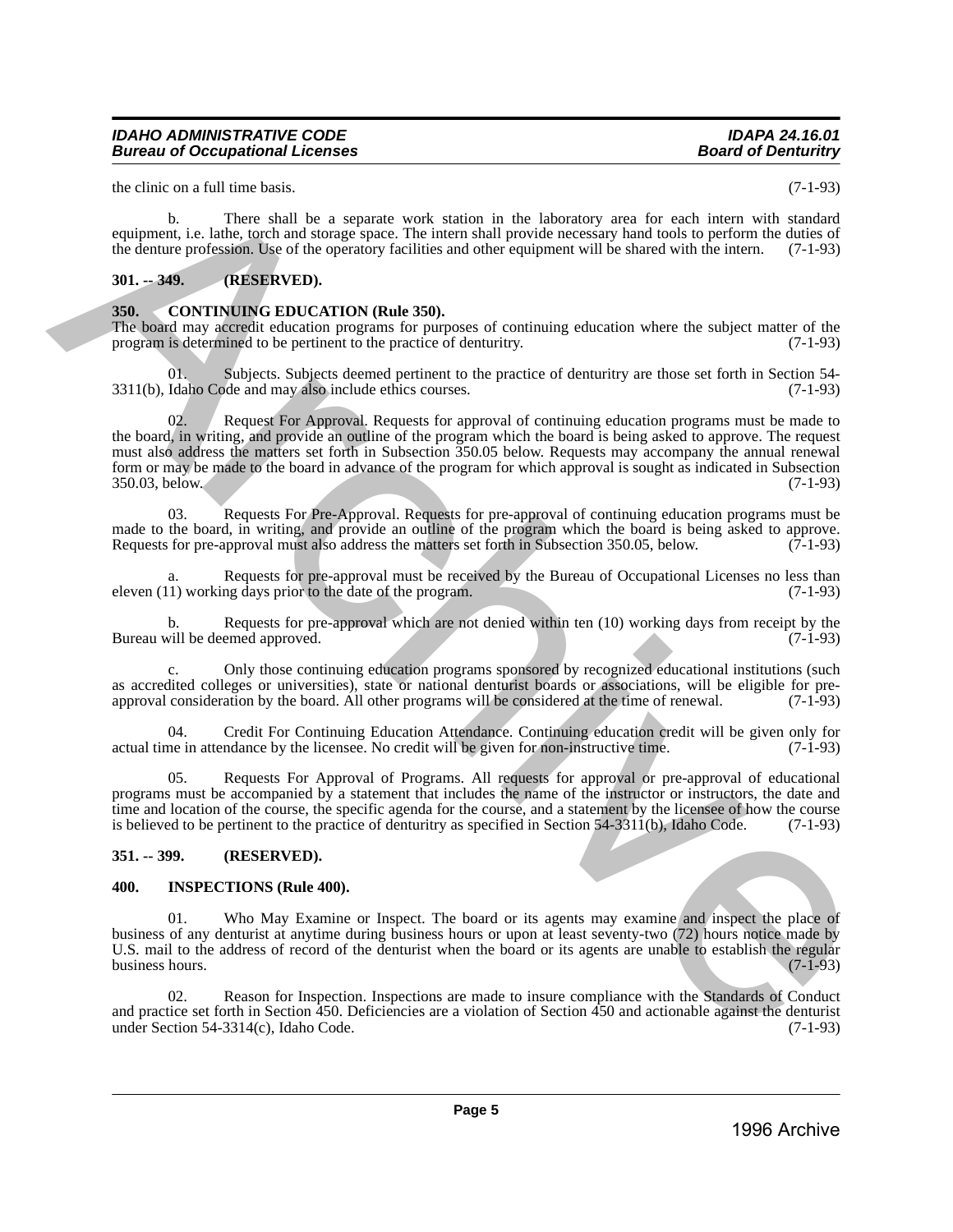#### *IDAHO ADMINISTRATIVE CODE IDAPA 24.16.01 Bureau of Occupational Licenses*

the clinic on a full time basis. (7-1-93)

b. There shall be a separate work station in the laboratory area for each intern with standard equipment, i.e. lathe, torch and storage space. The intern shall provide necessary hand tools to perform the duties of the denture profession. Use of the operatory facilities and other equipment will be shared with the intern. (7-1-93)

#### <span id="page-4-0"></span>**301. -- 349. (RESERVED).**

#### <span id="page-4-1"></span>**350. CONTINUING EDUCATION (Rule 350).**

The board may accredit education programs for purposes of continuing education where the subject matter of the program is determined to be pertinent to the practice of denturity. (7-1-93) program is determined to be pertinent to the practice of denturitry.

01. Subjects. Subjects deemed pertinent to the practice of denturitry are those set forth in Section 54-<br>Idaho Code and may also include ethics courses. (7-1-93)  $3311(b)$ , Idaho Code and may also include ethics courses.

02. Request For Approval. Requests for approval of continuing education programs must be made to the board, in writing, and provide an outline of the program which the board is being asked to approve. The request must also address the matters set forth in Subsection 350.05 below. Requests may accompany the annual renewal form or may be made to the board in advance of the program for which approval is sought as indicated in Subsection 350.03, below. (7-1-93) the circuit time hast.<br>
Yellow the mass has present work, station in the laboratory area for each internet of a candidal<br>
contained behaviour in the station of the station of the station of the station of the station of t

03. Requests For Pre-Approval. Requests for pre-approval of continuing education programs must be made to the board, in writing, and provide an outline of the program which the board is being asked to approve.<br>Requests for pre-approval must also address the matters set forth in Subsection 350.05, below. (7-1-93) Requests for pre-approval must also address the matters set forth in Subsection 350.05, below.

a. Requests for pre-approval must be received by the Bureau of Occupational Licenses no less than 1) working days prior to the date of the program. (7-1-93) eleven  $(11)$  working days prior to the date of the program.

b. Requests for pre-approval which are not denied within ten  $(10)$  working days from receipt by the will be deemed approved.  $(7-1-93)$ Bureau will be deemed approved.

c. Only those continuing education programs sponsored by recognized educational institutions (such as accredited colleges or universities), state or national denturist boards or associations, will be eligible for pre-<br>approval consideration by the board. All other programs will be considered at the time of renewal. (7-1 approval consideration by the board. All other programs will be considered at the time of renewal.

04. Credit For Continuing Education Attendance. Continuing education credit will be given only for ne in attendance by the licensee. No credit will be given for non-instructive time. (7-1-93) actual time in attendance by the licensee. No credit will be given for non-instructive time.

05. Requests For Approval of Programs. All requests for approval or pre-approval of educational programs must be accompanied by a statement that includes the name of the instructor or instructors, the date and time and location of the course, the specific agenda for the course, and a statement by the licensee of how the course is believed to be pertinent to the practice of denturitry as specified in Section 54-3311(b), Idaho Code. (7-1-93)

#### <span id="page-4-2"></span>**351. -- 399. (RESERVED).**

#### <span id="page-4-3"></span>**400. INSPECTIONS (Rule 400).**

Who May Examine or Inspect. The board or its agents may examine and inspect the place of business of any denturist at anytime during business hours or upon at least seventy-two (72) hours notice made by U.S. mail to the address of record of the denturist when the board or its agents are unable to establish the regular business hours. (7-1-93) business hours.

02. Reason for Inspection. Inspections are made to insure compliance with the Standards of Conduct and practice set forth in Section 450. Deficiencies are a violation of Section 450 and actionable against the denturist under Section 54-3314(c), Idaho Code.  $(7-1-93)$ under Section 54-3314(c), Idaho Code.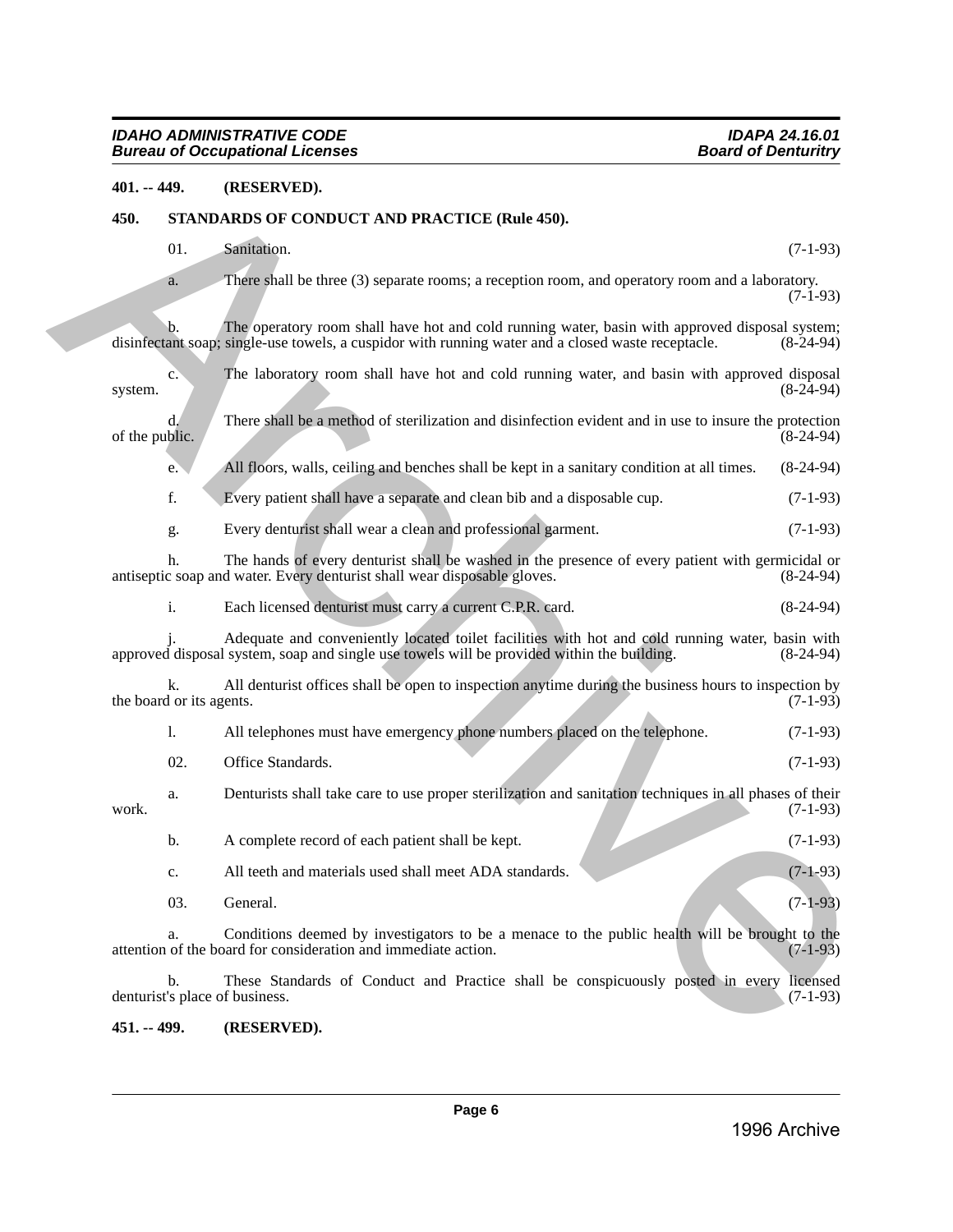#### <span id="page-5-0"></span>**401. -- 449. (RESERVED).**

#### <span id="page-5-1"></span>**450. STANDARDS OF CONDUCT AND PRACTICE (Rule 450).**

- $01.$  Sanitation.  $(7-1-93)$ 
	- a. There shall be three (3) separate rooms; a reception room, and operatory room and a laboratory. (7-1-93)

- c. The laboratory room shall have hot and cold running water, and basin with approved disposal (8-24-94) system. (8-24-94)
- d. There shall be a method of sterilization and disinfection evident and in use to insure the protection of the public.
	- e. All floors, walls, ceiling and benches shall be kept in a sanitary condition at all times. (8-24-94)
	- f. Every patient shall have a separate and clean bib and a disposable cup. (7-1-93)
	- g. Every denturist shall wear a clean and professional garment. (7-1-93)

| 401. -- 449.   |                                | (RESERVED).                                                                                                                                                                                          |                        |
|----------------|--------------------------------|------------------------------------------------------------------------------------------------------------------------------------------------------------------------------------------------------|------------------------|
| 450.           |                                | STANDARDS OF CONDUCT AND PRACTICE (Rule 450).                                                                                                                                                        |                        |
|                | 01.                            | Sanitation.                                                                                                                                                                                          | $(7-1-93)$             |
|                | a.                             | There shall be three (3) separate rooms; a reception room, and operatory room and a laboratory.                                                                                                      | $(7-1-93)$             |
|                | b.                             | The operatory room shall have hot and cold running water, basin with approved disposal system;<br>disinfectant soap; single-use towels, a cuspidor with running water and a closed waste receptacle. | $(8-24-94)$            |
| system.        | $\mathbf{c}$ .                 | The laboratory room shall have hot and cold running water, and basin with approved disposal                                                                                                          | $(8-24-94)$            |
| of the public. | $d$ .                          | There shall be a method of sterilization and disinfection evident and in use to insure the protection                                                                                                | $(8-24-94)$            |
|                | e.                             | All floors, walls, ceiling and benches shall be kept in a sanitary condition at all times.                                                                                                           | $(8-24-94)$            |
|                | f.                             | Every patient shall have a separate and clean bib and a disposable cup.                                                                                                                              | $(7-1-93)$             |
|                | g.                             | Every denturist shall wear a clean and professional garment.                                                                                                                                         | $(7-1-93)$             |
|                | h.                             | The hands of every denturist shall be washed in the presence of every patient with germicidal or<br>antiseptic soap and water. Every denturist shall wear disposable gloves.                         | $(8-24-94)$            |
|                | i.                             | Each licensed denturist must carry a current C.P.R. card.                                                                                                                                            | $(8-24-94)$            |
|                |                                | Adequate and conveniently located toilet facilities with hot and cold running water, basin with<br>approved disposal system, soap and single use towels will be provided within the building.        | $(8-24-94)$            |
|                | k.<br>the board or its agents. | All denturist offices shall be open to inspection anytime during the business hours to inspection by                                                                                                 | $(7-1-93)$             |
|                | 1.                             | All telephones must have emergency phone numbers placed on the telephone.                                                                                                                            | $(7-1-93)$             |
|                | 02.                            | Office Standards.                                                                                                                                                                                    | $(7-1-93)$             |
| work.          | a.                             | Denturists shall take care to use proper sterilization and sanitation techniques in all phases of their                                                                                              | $(7-1-93)$             |
|                | b.                             | A complete record of each patient shall be kept.                                                                                                                                                     | $(7-1-93)$             |
|                | c.                             | All teeth and materials used shall meet ADA standards.                                                                                                                                               | $(7-1-93)$             |
|                | 03.                            | General.                                                                                                                                                                                             | $(7-1-93)$             |
|                | a.                             | Conditions deemed by investigators to be a menace to the public health will be brought to the<br>attention of the board for consideration and immediate action.                                      | $(7-1-93)$             |
|                | b.                             | These Standards of Conduct and Practice shall be conspicuously posted in every<br>denturist's place of business.                                                                                     | licensed<br>$(7-1-93)$ |
| 451. -- 499.   |                                | (RESERVED).                                                                                                                                                                                          |                        |

#### <span id="page-5-2"></span>**451. -- 499. (RESERVED).**